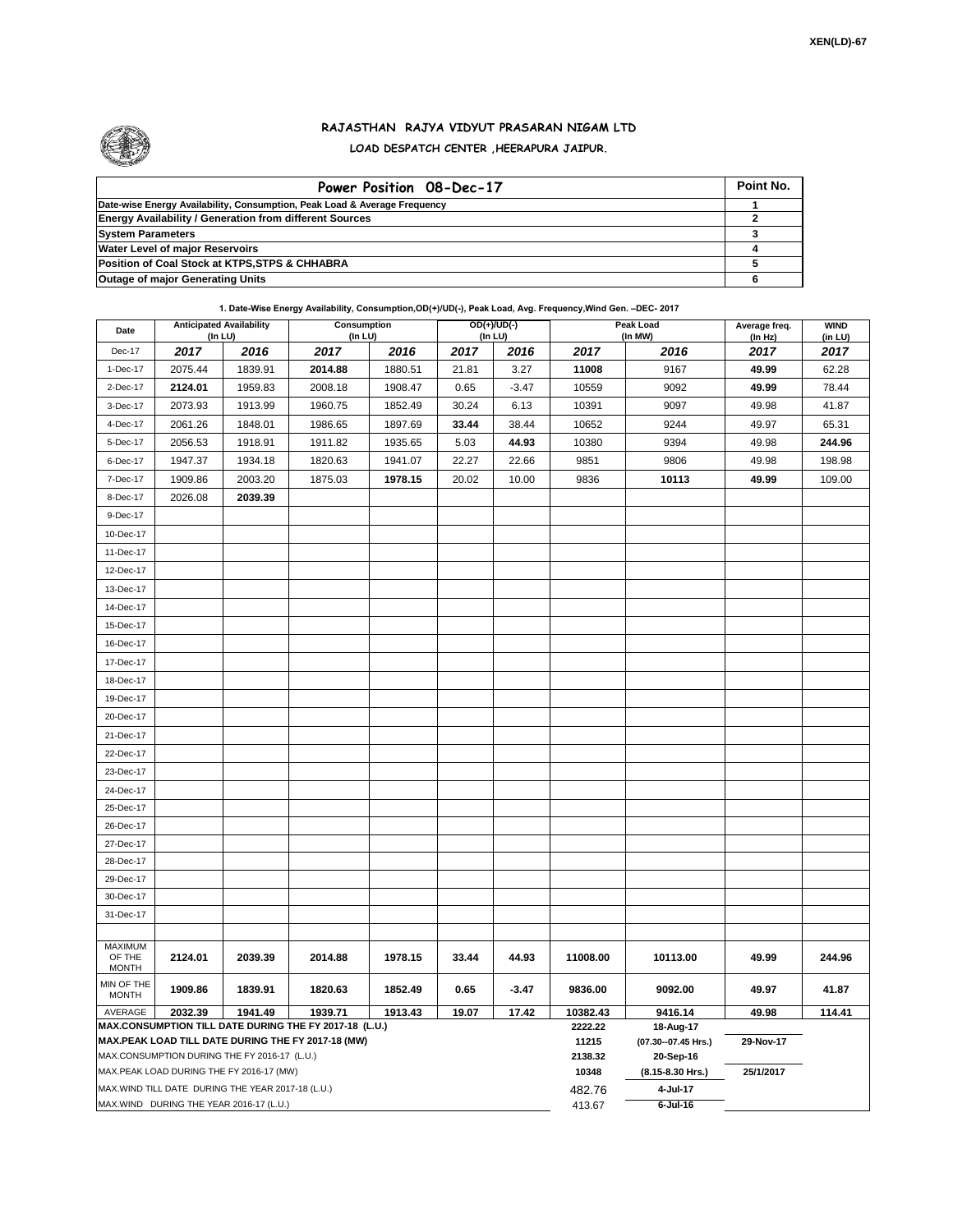

## **RAJASTHAN RAJYA VIDYUT PRASARAN NIGAM LTD LOAD DESPATCH CENTER ,HEERAPURA JAIPUR.**

| Power Position 08-Dec-17                                                  | Point No. |
|---------------------------------------------------------------------------|-----------|
| Date-wise Energy Availability, Consumption, Peak Load & Average Frequency |           |
| <b>Energy Availability / Generation from different Sources</b>            |           |
| <b>System Parameters</b>                                                  |           |
| <b>Water Level of major Reservoirs</b>                                    |           |
| Position of Coal Stock at KTPS, STPS & CHHABRA                            |           |
| <b>Outage of major Generating Units</b>                                   |           |

**1. Date-Wise Energy Availability, Consumption,OD(+)/UD(-), Peak Load, Avg. Frequency,Wind Gen. –DEC- 2017**

| <b>Anticipated Availability</b><br>Date<br>(In LU)                                                           |         | Consumption<br>(In LU)                            |         | $OD(+)/UD(-)$<br>(In LU) |       |                  | Peak Load<br>(In MW)               | Average freq.<br>(ln Hz) | <b>WIND</b><br>(in LU) |        |  |  |
|--------------------------------------------------------------------------------------------------------------|---------|---------------------------------------------------|---------|--------------------------|-------|------------------|------------------------------------|--------------------------|------------------------|--------|--|--|
| Dec-17                                                                                                       | 2017    | 2016                                              | 2017    | 2016                     | 2017  | 2016             | 2017                               | 2016                     | 2017                   | 2017   |  |  |
| 1-Dec-17                                                                                                     | 2075.44 | 1839.91                                           | 2014.88 | 1880.51                  | 21.81 | 3.27             | 11008                              | 9167                     | 49.99                  | 62.28  |  |  |
| 2-Dec-17                                                                                                     | 2124.01 | 1959.83                                           | 2008.18 | 1908.47                  | 0.65  | $-3.47$          | 10559                              | 9092                     | 49.99                  | 78.44  |  |  |
| 3-Dec-17                                                                                                     | 2073.93 | 1913.99                                           | 1960.75 | 1852.49                  | 30.24 | 6.13             | 10391                              | 9097                     | 49.98                  | 41.87  |  |  |
| 4-Dec-17                                                                                                     | 2061.26 | 1848.01                                           | 1986.65 | 1897.69                  | 33.44 | 38.44            | 10652                              | 9244                     | 49.97                  | 65.31  |  |  |
| 5-Dec-17                                                                                                     | 2056.53 | 1918.91                                           | 1911.82 | 1935.65                  | 5.03  | 44.93            | 10380                              | 9394                     | 49.98                  | 244.96 |  |  |
| 6-Dec-17                                                                                                     | 1947.37 | 1934.18                                           | 1820.63 | 1941.07                  | 22.27 | 22.66            | 9851                               | 9806                     | 49.98                  | 198.98 |  |  |
| 7-Dec-17                                                                                                     | 1909.86 | 2003.20                                           | 1875.03 | 1978.15                  | 20.02 | 10.00            | 9836                               | 10113                    | 49.99                  | 109.00 |  |  |
| 8-Dec-17                                                                                                     | 2026.08 | 2039.39                                           |         |                          |       |                  |                                    |                          |                        |        |  |  |
| 9-Dec-17                                                                                                     |         |                                                   |         |                          |       |                  |                                    |                          |                        |        |  |  |
| 10-Dec-17                                                                                                    |         |                                                   |         |                          |       |                  |                                    |                          |                        |        |  |  |
| 11-Dec-17                                                                                                    |         |                                                   |         |                          |       |                  |                                    |                          |                        |        |  |  |
| 12-Dec-17                                                                                                    |         |                                                   |         |                          |       |                  |                                    |                          |                        |        |  |  |
| 13-Dec-17                                                                                                    |         |                                                   |         |                          |       |                  |                                    |                          |                        |        |  |  |
| 14-Dec-17                                                                                                    |         |                                                   |         |                          |       |                  |                                    |                          |                        |        |  |  |
| 15-Dec-17                                                                                                    |         |                                                   |         |                          |       |                  |                                    |                          |                        |        |  |  |
| 16-Dec-17                                                                                                    |         |                                                   |         |                          |       |                  |                                    |                          |                        |        |  |  |
| 17-Dec-17                                                                                                    |         |                                                   |         |                          |       |                  |                                    |                          |                        |        |  |  |
| 18-Dec-17                                                                                                    |         |                                                   |         |                          |       |                  |                                    |                          |                        |        |  |  |
| 19-Dec-17                                                                                                    |         |                                                   |         |                          |       |                  |                                    |                          |                        |        |  |  |
| 20-Dec-17                                                                                                    |         |                                                   |         |                          |       |                  |                                    |                          |                        |        |  |  |
| 21-Dec-17                                                                                                    |         |                                                   |         |                          |       |                  |                                    |                          |                        |        |  |  |
| 22-Dec-17                                                                                                    |         |                                                   |         |                          |       |                  |                                    |                          |                        |        |  |  |
| 23-Dec-17                                                                                                    |         |                                                   |         |                          |       |                  |                                    |                          |                        |        |  |  |
| 24-Dec-17                                                                                                    |         |                                                   |         |                          |       |                  |                                    |                          |                        |        |  |  |
| 25-Dec-17                                                                                                    |         |                                                   |         |                          |       |                  |                                    |                          |                        |        |  |  |
| 26-Dec-17                                                                                                    |         |                                                   |         |                          |       |                  |                                    |                          |                        |        |  |  |
| 27-Dec-17                                                                                                    |         |                                                   |         |                          |       |                  |                                    |                          |                        |        |  |  |
| 28-Dec-17                                                                                                    |         |                                                   |         |                          |       |                  |                                    |                          |                        |        |  |  |
| 29-Dec-17                                                                                                    |         |                                                   |         |                          |       |                  |                                    |                          |                        |        |  |  |
| 30-Dec-17                                                                                                    |         |                                                   |         |                          |       |                  |                                    |                          |                        |        |  |  |
| 31-Dec-17                                                                                                    |         |                                                   |         |                          |       |                  |                                    |                          |                        |        |  |  |
|                                                                                                              |         |                                                   |         |                          |       |                  |                                    |                          |                        |        |  |  |
| <b>MAXIMUM</b><br>OF THE                                                                                     | 2124.01 | 2039.39                                           | 2014.88 | 1978.15                  | 33.44 | 44.93            | 11008.00                           | 10113.00                 | 49.99                  | 244.96 |  |  |
| <b>MONTH</b>                                                                                                 |         |                                                   |         |                          |       |                  |                                    |                          |                        |        |  |  |
| MIN OF THE<br><b>MONTH</b>                                                                                   | 1909.86 | 1839.91                                           | 1820.63 | 1852.49                  | 0.65  | $-3.47$          | 9836.00                            | 9092.00                  | 49.97                  | 41.87  |  |  |
| AVERAGE                                                                                                      | 2032.39 | 1941.49                                           | 1939.71 | 1913.43                  | 19.07 | 17.42            | 10382.43                           | 9416.14                  | 49.98                  | 114.41 |  |  |
| MAX.CONSUMPTION TILL DATE DURING THE FY 2017-18 (L.U.)<br>MAX.PEAK LOAD TILL DATE DURING THE FY 2017-18 (MW) |         |                                                   |         |                          |       | 2222.22<br>11215 | 18-Aug-17<br>(07.30 -- 07.45 Hrs.) | 29-Nov-17                |                        |        |  |  |
| MAX.CONSUMPTION DURING THE FY 2016-17 (L.U.)                                                                 |         |                                                   |         |                          |       |                  | 2138.32                            | 20-Sep-16                |                        |        |  |  |
|                                                                                                              |         | MAX.PEAK LOAD DURING THE FY 2016-17 (MW)          |         |                          |       |                  | 10348                              | (8.15-8.30 Hrs.)         | 25/1/2017              |        |  |  |
|                                                                                                              |         | MAX.WIND TILL DATE DURING THE YEAR 2017-18 (L.U.) |         |                          |       |                  | 482.76                             | 4-Jul-17                 |                        |        |  |  |
| MAX.WIND DURING THE YEAR 2016-17 (L.U.)                                                                      |         |                                                   |         |                          |       |                  | 413.67                             | $6$ -Jul-16              |                        |        |  |  |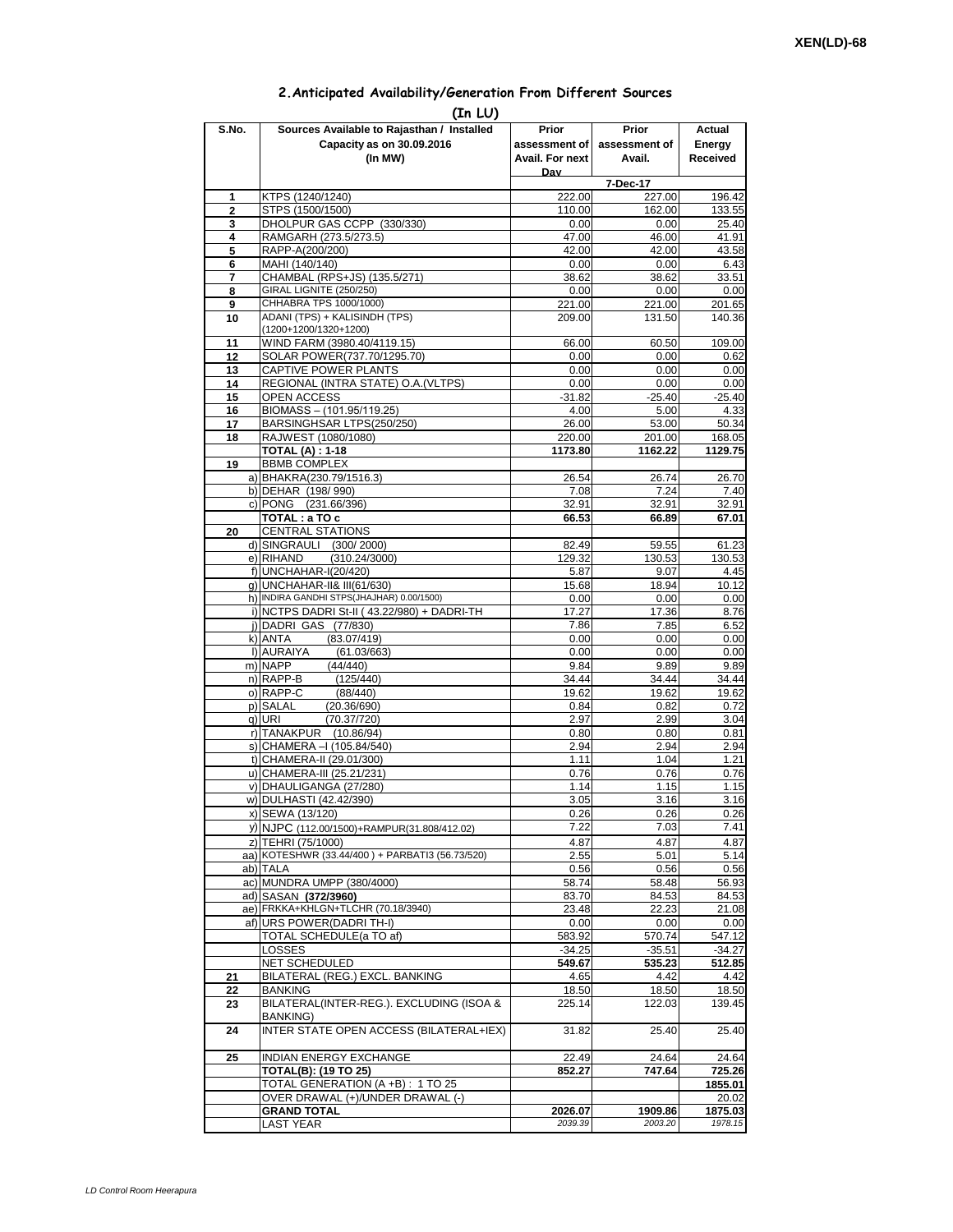## **2.Anticipated Availability/Generation From Different Sources**

|                | (In LU)                                                                  |                    |                    |                    |
|----------------|--------------------------------------------------------------------------|--------------------|--------------------|--------------------|
| S.No.          | Sources Available to Rajasthan / Installed                               | Prior              | Prior              | Actual             |
|                | Capacity as on 30.09.2016                                                | assessment of I    | assessment of      | Energy             |
|                | (In MW)                                                                  | Avail. For next    | Avail.             | Received           |
|                |                                                                          | Dav                |                    |                    |
| 1              | KTPS (1240/1240)                                                         | 222.00             | 7-Dec-17<br>227.00 | 196.42             |
| $\overline{2}$ | STPS (1500/1500)                                                         | 110.00             | 162.00             | 133.55             |
| 3              | DHOLPUR GAS CCPP (330/330)                                               | 0.00               | 0.00               | 25.40              |
| 4              | RAMGARH (273.5/273.5)                                                    | 47.00              | 46.00              | 41.91              |
| 5              | RAPP-A(200/200)                                                          | 42.00              | 42.00              | 43.58              |
| 6              | MAHI (140/140)                                                           | 0.00               | 0.00               | 6.43               |
| 7<br>8         | CHAMBAL (RPS+JS) (135.5/271)<br>GIRAL LIGNITE (250/250)                  | 38.62<br>0.00      | 38.62<br>0.00      | 33.51<br>0.00      |
| 9              | CHHABRA TPS 1000/1000)                                                   | 221.00             | 221.00             | 201.65             |
| 10             | ADANI (TPS) + KALISINDH (TPS)                                            | 209.00             | 131.50             | 140.36             |
|                | (1200+1200/1320+1200)                                                    |                    |                    |                    |
| 11             | WIND FARM (3980.40/4119.15)                                              | 66.00              | 60.50              | 109.00             |
| 12             | SOLAR POWER(737.70/1295.70)                                              | 0.00               | 0.00               | 0.62               |
| 13<br>14       | CAPTIVE POWER PLANTS<br>REGIONAL (INTRA STATE) O.A. (VLTPS)              | 0.00<br>0.00       | 0.00<br>0.00       | 0.00<br>0.00       |
| 15             | <b>OPEN ACCESS</b>                                                       | $-31.82$           | $-25.40$           | $-25.40$           |
| 16             | BIOMASS - (101.95/119.25)                                                | 4.00               | 5.00               | 4.33               |
| 17             | BARSINGHSAR LTPS(250/250)                                                | 26.00              | 53.00              | 50.34              |
| 18             | RAJWEST (1080/1080)                                                      | 220.00             | 201.00             | 168.05             |
|                | <b>TOTAL (A): 1-18</b>                                                   | 1173.80            | 1162.22            | 1129.75            |
| 19             | <b>BBMB COMPLEX</b>                                                      |                    |                    |                    |
|                | a) BHAKRA(230.79/1516.3)<br>b) DEHAR (198/990)                           | 26.54<br>7.08      | 26.74<br>7.24      | 26.70<br>7.40      |
|                | c) PONG (231.66/396)                                                     | 32.91              | 32.91              | 32.91              |
|                | TOTAL: a TO c                                                            | 66.53              | 66.89              | 67.01              |
| 20             | <b>CENTRAL STATIONS</b>                                                  |                    |                    |                    |
|                | d) SINGRAULI (300/2000)                                                  | 82.49              | 59.55              | 61.23              |
|                | e) RIHAND<br>(310.24/3000)                                               | 129.32             | 130.53             | 130.53             |
|                | f) UNCHAHAR-I(20/420)                                                    | 5.87               | 9.07               | 4.45               |
|                | g) UNCHAHAR-II& III(61/630)<br>h) INDIRA GANDHI STPS(JHAJHAR) 0.00/1500) | 15.68<br>0.00      | 18.94<br>0.00      | 10.12<br>0.00      |
|                | i) NCTPS DADRI St-II (43.22/980) + DADRI-TH                              | 17.27              | 17.36              | 8.76               |
|                | j) DADRI GAS (77/830)                                                    | 7.86               | 7.85               | 6.52               |
|                | (83.07/419)<br>k) ANTA                                                   | 0.00               | 0.00               | 0.00               |
|                | I) AURAIYA<br>(61.03/663)                                                | 0.00               | 0.00               | 0.00               |
|                | m) NAPP<br>(44/440)                                                      | 9.84               | 9.89               | 9.89               |
|                | n) RAPP-B<br>(125/440)<br>o) RAPP-C<br>(88/440)                          | 34.44<br>19.62     | 34.44<br>19.62     | 34.44<br>19.62     |
|                | p) SALAL<br>(20.36/690)                                                  | 0.84               | 0.82               | 0.72               |
|                | q) URI<br>(70.37/720)                                                    | 2.97               | 2.99               | 3.04               |
|                | r) TANAKPUR (10.86/94)                                                   | 0.80               | 0.80               | 0.81               |
|                | s) CHAMERA - (105.84/540)                                                | 2.94               | 2.94               | 2.94               |
|                | t) CHAMERA-II (29.01/300)                                                | 1.11               | 1.04               | 1.21               |
|                | u) CHAMERA-III (25.21/231)                                               | 0.76               | 0.76               | 0.76               |
|                | v) DHAULIGANGA (27/280)<br>w) DULHASTI (42.42/390)                       | 1.14<br>3.05       | 1.15<br>3.16       | 1.15<br>3.16       |
|                | x) SEWA (13/120)                                                         | 0.26               | 0.26               | 0.26               |
|                | y) NJPC (112.00/1500)+RAMPUR(31.808/412.02)                              | 7.22               | 7.03               | 7.41               |
|                | z) TEHRI (75/1000)                                                       | 4.87               | 4.87               | 4.87               |
|                | aa) KOTESHWR (33.44/400) + PARBATI3 (56.73/520)                          | 2.55               | 5.01               | 5.14               |
|                | ab) TALA                                                                 | 0.56               | 0.56               | 0.56               |
|                | ac) MUNDRA UMPP (380/4000)                                               | 58.74              | 58.48              | 56.93              |
|                | ad) SASAN (372/3960)<br>ae) FRKKA+KHLGN+TLCHR (70.18/3940)               | 83.70<br>23.48     | 84.53<br>22.23     | 84.53<br>21.08     |
|                | af) URS POWER(DADRITH-I)                                                 | 0.00               | 0.00               | 0.00               |
|                | TOTAL SCHEDULE(a TO af)                                                  | 583.92             | 570.74             | 547.12             |
|                | LOSSES                                                                   | $-34.25$           | $-35.51$           | $-34.27$           |
|                | NET SCHEDULED                                                            | 549.67             | 535.23             | 512.85             |
| 21             | BILATERAL (REG.) EXCL. BANKING                                           | 4.65               | 4.42               | 4.42               |
| 22             | BANKING<br>BILATERAL(INTER-REG.). EXCLUDING (ISOA &                      | 18.50<br>225.14    | 18.50<br>122.03    | 18.50<br>139.45    |
| 23             | BANKING)                                                                 |                    |                    |                    |
| 24             | INTER STATE OPEN ACCESS (BILATERAL+IEX)                                  | 31.82              | 25.40              | 25.40              |
|                |                                                                          |                    |                    |                    |
| 25             | <b>INDIAN ENERGY EXCHANGE</b>                                            | 22.49              | 24.64              | 24.64              |
|                | <b>TOTAL(B): (19 TO 25)</b>                                              | 852.27             | 747.64             | 725.26             |
|                | TOTAL GENERATION (A +B) : 1 TO 25                                        |                    |                    | 1855.01            |
|                | OVER DRAWAL (+)/UNDER DRAWAL (-)<br><b>GRAND TOTAL</b>                   |                    |                    | 20.02              |
|                | <b>LAST YEAR</b>                                                         | 2026.07<br>2039.39 | 1909.86<br>2003.20 | 1875.03<br>1978.15 |
|                |                                                                          |                    |                    |                    |